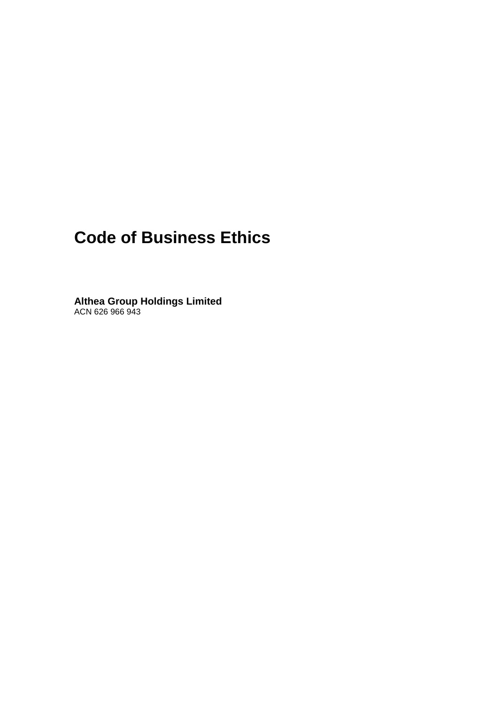# **Code of Business Ethics**

**Althea Group Holdings Limited** ACN 626 966 943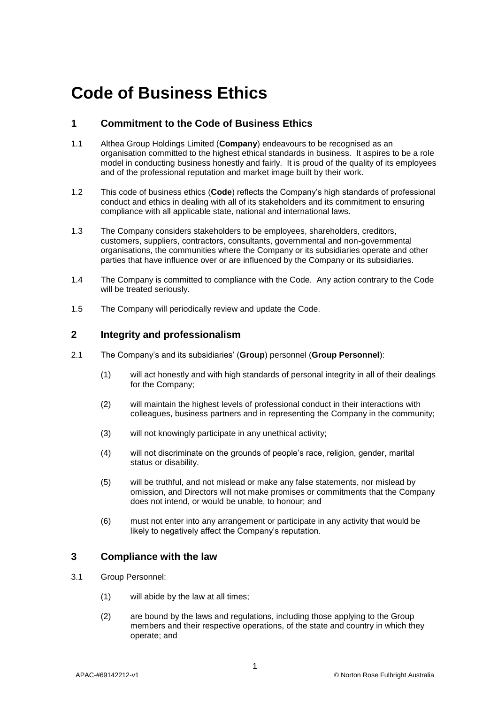# **Code of Business Ethics**

# **1 Commitment to the Code of Business Ethics**

- 1.1 Althea Group Holdings Limited (**Company**) endeavours to be recognised as an organisation committed to the highest ethical standards in business. It aspires to be a role model in conducting business honestly and fairly. It is proud of the quality of its employees and of the professional reputation and market image built by their work.
- 1.2 This code of business ethics (**Code**) reflects the Company's high standards of professional conduct and ethics in dealing with all of its stakeholders and its commitment to ensuring compliance with all applicable state, national and international laws.
- 1.3 The Company considers stakeholders to be employees, shareholders, creditors, customers, suppliers, contractors, consultants, governmental and non-governmental organisations, the communities where the Company or its subsidiaries operate and other parties that have influence over or are influenced by the Company or its subsidiaries.
- 1.4 The Company is committed to compliance with the Code. Any action contrary to the Code will be treated seriously.
- 1.5 The Company will periodically review and update the Code.

# **2 Integrity and professionalism**

- 2.1 The Company's and its subsidiaries' (**Group**) personnel (**Group Personnel**):
	- (1) will act honestly and with high standards of personal integrity in all of their dealings for the Company;
	- (2) will maintain the highest levels of professional conduct in their interactions with colleagues, business partners and in representing the Company in the community;
	- (3) will not knowingly participate in any unethical activity;
	- (4) will not discriminate on the grounds of people's race, religion, gender, marital status or disability.
	- (5) will be truthful, and not mislead or make any false statements, nor mislead by omission, and Directors will not make promises or commitments that the Company does not intend, or would be unable, to honour; and
	- (6) must not enter into any arrangement or participate in any activity that would be likely to negatively affect the Company's reputation.

# **3 Compliance with the law**

- 3.1 Group Personnel:
	- (1) will abide by the law at all times;
	- (2) are bound by the laws and regulations, including those applying to the Group members and their respective operations, of the state and country in which they operate; and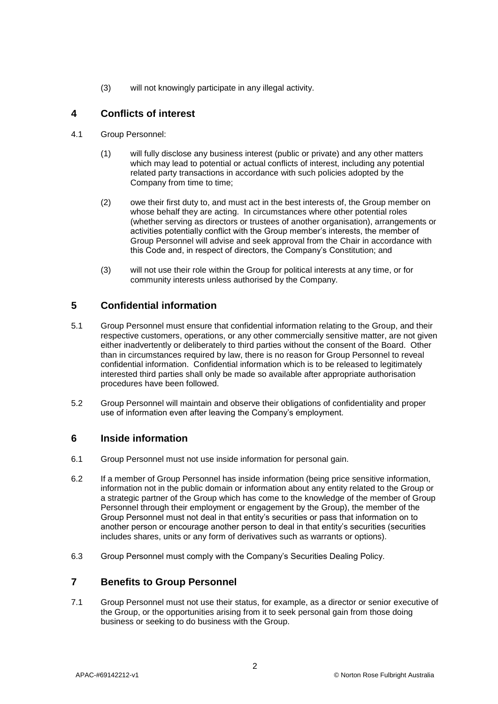(3) will not knowingly participate in any illegal activity.

# **4 Conflicts of interest**

- 4.1 Group Personnel:
	- (1) will fully disclose any business interest (public or private) and any other matters which may lead to potential or actual conflicts of interest, including any potential related party transactions in accordance with such policies adopted by the Company from time to time;
	- (2) owe their first duty to, and must act in the best interests of, the Group member on whose behalf they are acting. In circumstances where other potential roles (whether serving as directors or trustees of another organisation), arrangements or activities potentially conflict with the Group member's interests, the member of Group Personnel will advise and seek approval from the Chair in accordance with this Code and, in respect of directors, the Company's Constitution; and
	- (3) will not use their role within the Group for political interests at any time, or for community interests unless authorised by the Company.

# **5 Confidential information**

- 5.1 Group Personnel must ensure that confidential information relating to the Group, and their respective customers, operations, or any other commercially sensitive matter, are not given either inadvertently or deliberately to third parties without the consent of the Board. Other than in circumstances required by law, there is no reason for Group Personnel to reveal confidential information. Confidential information which is to be released to legitimately interested third parties shall only be made so available after appropriate authorisation procedures have been followed.
- 5.2 Group Personnel will maintain and observe their obligations of confidentiality and proper use of information even after leaving the Company's employment.

# **6 Inside information**

- 6.1 Group Personnel must not use inside information for personal gain.
- 6.2 If a member of Group Personnel has inside information (being price sensitive information, information not in the public domain or information about any entity related to the Group or a strategic partner of the Group which has come to the knowledge of the member of Group Personnel through their employment or engagement by the Group), the member of the Group Personnel must not deal in that entity's securities or pass that information on to another person or encourage another person to deal in that entity's securities (securities includes shares, units or any form of derivatives such as warrants or options).
- 6.3 Group Personnel must comply with the Company's Securities Dealing Policy.

# **7 Benefits to Group Personnel**

7.1 Group Personnel must not use their status, for example, as a director or senior executive of the Group, or the opportunities arising from it to seek personal gain from those doing business or seeking to do business with the Group.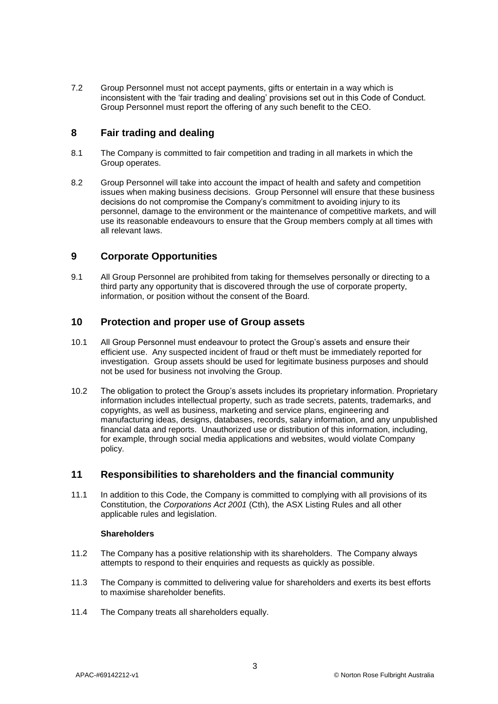7.2 Group Personnel must not accept payments, gifts or entertain in a way which is inconsistent with the 'fair trading and dealing' provisions set out in this Code of Conduct. Group Personnel must report the offering of any such benefit to the CEO.

# **8 Fair trading and dealing**

- 8.1 The Company is committed to fair competition and trading in all markets in which the Group operates.
- 8.2 Group Personnel will take into account the impact of health and safety and competition issues when making business decisions. Group Personnel will ensure that these business decisions do not compromise the Company's commitment to avoiding injury to its personnel, damage to the environment or the maintenance of competitive markets, and will use its reasonable endeavours to ensure that the Group members comply at all times with all relevant laws.

# **9 Corporate Opportunities**

9.1 All Group Personnel are prohibited from taking for themselves personally or directing to a third party any opportunity that is discovered through the use of corporate property, information, or position without the consent of the Board.

# **10 Protection and proper use of Group assets**

- 10.1 All Group Personnel must endeavour to protect the Group's assets and ensure their efficient use. Any suspected incident of fraud or theft must be immediately reported for investigation. Group assets should be used for legitimate business purposes and should not be used for business not involving the Group.
- 10.2 The obligation to protect the Group's assets includes its proprietary information. Proprietary information includes intellectual property, such as trade secrets, patents, trademarks, and copyrights, as well as business, marketing and service plans, engineering and manufacturing ideas, designs, databases, records, salary information, and any unpublished financial data and reports. Unauthorized use or distribution of this information, including, for example, through social media applications and websites, would violate Company policy.

# **11 Responsibilities to shareholders and the financial community**

11.1 In addition to this Code, the Company is committed to complying with all provisions of its Constitution, the *Corporations Act 2001* (Cth)*,* the ASX Listing Rules and all other applicable rules and legislation.

## **Shareholders**

- 11.2 The Company has a positive relationship with its shareholders. The Company always attempts to respond to their enquiries and requests as quickly as possible.
- 11.3 The Company is committed to delivering value for shareholders and exerts its best efforts to maximise shareholder benefits.
- 11.4 The Company treats all shareholders equally.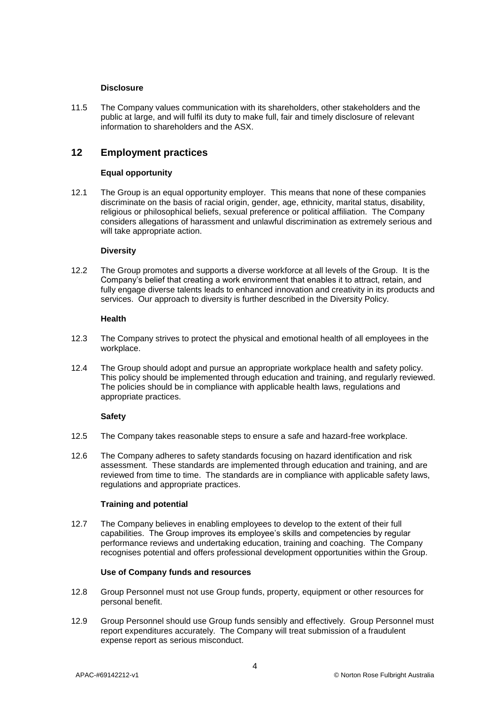## **Disclosure**

11.5 The Company values communication with its shareholders, other stakeholders and the public at large, and will fulfil its duty to make full, fair and timely disclosure of relevant information to shareholders and the ASX.

# **12 Employment practices**

## **Equal opportunity**

12.1 The Group is an equal opportunity employer. This means that none of these companies discriminate on the basis of racial origin, gender, age, ethnicity, marital status, disability, religious or philosophical beliefs, sexual preference or political affiliation. The Company considers allegations of harassment and unlawful discrimination as extremely serious and will take appropriate action.

## **Diversity**

12.2 The Group promotes and supports a diverse workforce at all levels of the Group. It is the Company's belief that creating a work environment that enables it to attract, retain, and fully engage diverse talents leads to enhanced innovation and creativity in its products and services. Our approach to diversity is further described in the Diversity Policy.

## **Health**

- 12.3 The Company strives to protect the physical and emotional health of all employees in the workplace.
- 12.4 The Group should adopt and pursue an appropriate workplace health and safety policy. This policy should be implemented through education and training, and regularly reviewed. The policies should be in compliance with applicable health laws, regulations and appropriate practices.

## **Safety**

- 12.5 The Company takes reasonable steps to ensure a safe and hazard-free workplace.
- 12.6 The Company adheres to safety standards focusing on hazard identification and risk assessment. These standards are implemented through education and training, and are reviewed from time to time. The standards are in compliance with applicable safety laws, regulations and appropriate practices.

## **Training and potential**

12.7 The Company believes in enabling employees to develop to the extent of their full capabilities. The Group improves its employee's skills and competencies by regular performance reviews and undertaking education, training and coaching. The Company recognises potential and offers professional development opportunities within the Group.

## **Use of Company funds and resources**

- 12.8 Group Personnel must not use Group funds, property, equipment or other resources for personal benefit.
- 12.9 Group Personnel should use Group funds sensibly and effectively. Group Personnel must report expenditures accurately. The Company will treat submission of a fraudulent expense report as serious misconduct.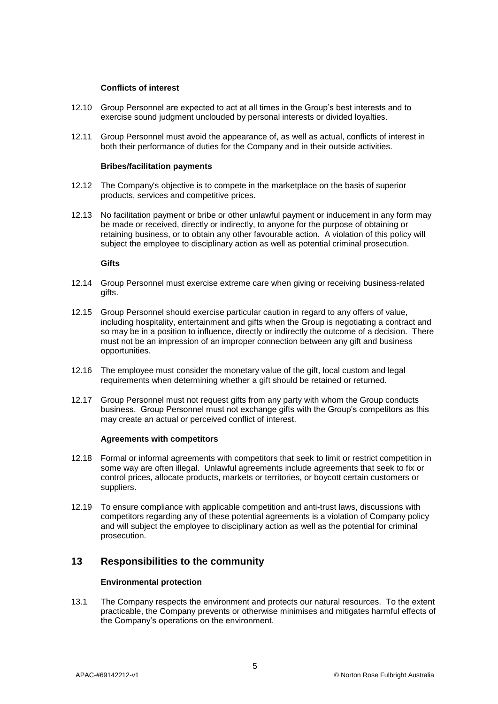### **Conflicts of interest**

- 12.10 Group Personnel are expected to act at all times in the Group's best interests and to exercise sound judgment unclouded by personal interests or divided loyalties.
- 12.11 Group Personnel must avoid the appearance of, as well as actual, conflicts of interest in both their performance of duties for the Company and in their outside activities.

#### **Bribes/facilitation payments**

- 12.12 The Company's objective is to compete in the marketplace on the basis of superior products, services and competitive prices.
- 12.13 No facilitation payment or bribe or other unlawful payment or inducement in any form may be made or received, directly or indirectly, to anyone for the purpose of obtaining or retaining business, or to obtain any other favourable action. A violation of this policy will subject the employee to disciplinary action as well as potential criminal prosecution.

#### **Gifts**

- 12.14 Group Personnel must exercise extreme care when giving or receiving business-related gifts.
- 12.15 Group Personnel should exercise particular caution in regard to any offers of value, including hospitality, entertainment and gifts when the Group is negotiating a contract and so may be in a position to influence, directly or indirectly the outcome of a decision. There must not be an impression of an improper connection between any gift and business opportunities.
- 12.16 The employee must consider the monetary value of the gift, local custom and legal requirements when determining whether a gift should be retained or returned.
- 12.17 Group Personnel must not request gifts from any party with whom the Group conducts business. Group Personnel must not exchange gifts with the Group's competitors as this may create an actual or perceived conflict of interest.

#### **Agreements with competitors**

- 12.18 Formal or informal agreements with competitors that seek to limit or restrict competition in some way are often illegal. Unlawful agreements include agreements that seek to fix or control prices, allocate products, markets or territories, or boycott certain customers or suppliers.
- 12.19 To ensure compliance with applicable competition and anti-trust laws, discussions with competitors regarding any of these potential agreements is a violation of Company policy and will subject the employee to disciplinary action as well as the potential for criminal prosecution.

# **13 Responsibilities to the community**

#### **Environmental protection**

13.1 The Company respects the environment and protects our natural resources. To the extent practicable, the Company prevents or otherwise minimises and mitigates harmful effects of the Company's operations on the environment.